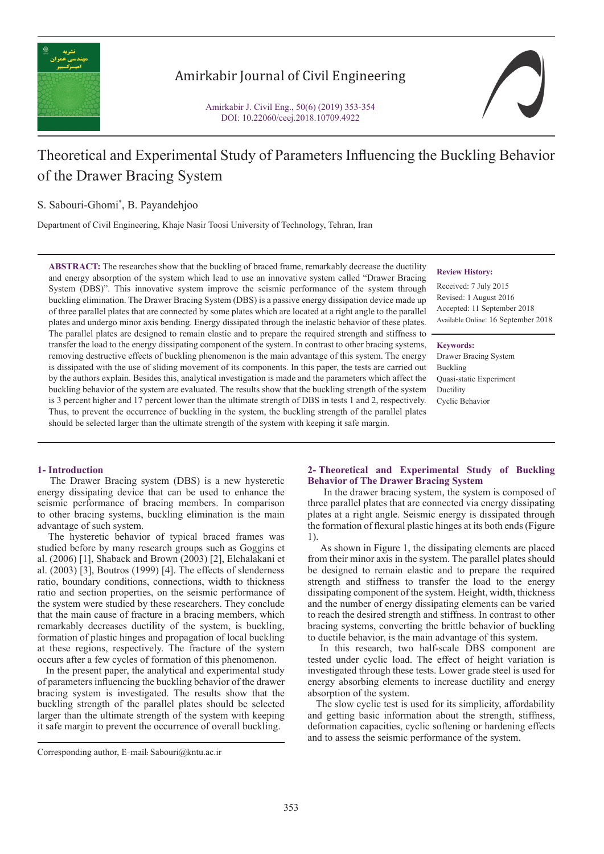

# Amirkabir Journal of Civil Engineering

Amirkabir J. Civil Eng., 50(6) (2019) 353-354 DOI: 10.22060/ceej.2018.10709.4922



# Theoretical and Experimental Study of Parameters Influencing the Buckling Behavior of the Drawer Bracing System

S. Sabouri-Ghomi\* , B. Payandehjoo

Department of Civil Engineering, Khaje Nasir Toosi University of Technology, Tehran, Iran

**ABSTRACT:** The researches show that the buckling of braced frame, remarkably decrease the ductility and energy absorption of the system which lead to use an innovative system called "Drawer Bracing System (DBS)". This innovative system improve the seismic performance of the system through buckling elimination. The Drawer Bracing System (DBS) is a passive energy dissipation device made up of three parallel plates that are connected by some plates which are located at a right angle to the parallel plates and undergo minor axis bending. Energy dissipated through the inelastic behavior of these plates. The parallel plates are designed to remain elastic and to prepare the required strength and stiffness to transfer the load to the energy dissipating component of the system. In contrast to other bracing systems, removing destructive effects of buckling phenomenon is the main advantage of this system. The energy is dissipated with the use of sliding movement of its components. In this paper, the tests are carried out by the authors explain. Besides this, analytical investigation is made and the parameters which affect the buckling behavior of the system are evaluated. The results show that the buckling strength of the system is 3 percent higher and 17 percent lower than the ultimate strength of DBS in tests 1 and 2, respectively. Thus, to prevent the occurrence of buckling in the system, the buckling strength of the parallel plates should be selected larger than the ultimate strength of the system with keeping it safe margin.

#### **Review History:**

Received: 7 July 2015 Revised: 1 August 2016 Accepted: 11 September 2018 Available Online: 16 September 2018

**Keywords:** Drawer Bracing System Buckling Quasi-static Experiment Ductility Cyclic Behavior

#### **1- Introduction**

 The Drawer Bracing system (DBS) is a new hysteretic energy dissipating device that can be used to enhance the seismic performance of bracing members. In comparison to other bracing systems, buckling elimination is the main advantage of such system.

 The hysteretic behavior of typical braced frames was studied before by many research groups such as Goggins et al. (2006) [1], Shaback and Brown (2003) [2], Elchalakani et al. (2003) [3], Boutros (1999) [4]. The effects of slenderness ratio, boundary conditions, connections, width to thickness ratio and section properties, on the seismic performance of the system were studied by these researchers. They conclude that the main cause of fracture in a bracing members, which remarkably decreases ductility of the system, is buckling, formation of plastic hinges and propagation of local buckling at these regions, respectively. The fracture of the system occurs after a few cycles of formation of this phenomenon.

 In the present paper, the analytical and experimental study of parameters influencing the buckling behavior of the drawer bracing system is investigated. The results show that the buckling strength of the parallel plates should be selected larger than the ultimate strength of the system with keeping it safe margin to prevent the occurrence of overall buckling.

#### **2- Theoretical and Experimental Study of Buckling Behavior of The Drawer Bracing System**

 In the drawer bracing system, the system is composed of three parallel plates that are connected via energy dissipating plates at a right angle. Seismic energy is dissipated through the formation of flexural plastic hinges at its both ends (Figure 1).

 As shown in Figure 1, the dissipating elements are placed from their minor axis in the system. The parallel plates should be designed to remain elastic and to prepare the required strength and stiffness to transfer the load to the energy dissipating component of the system. Height, width, thickness and the number of energy dissipating elements can be varied to reach the desired strength and stiffness. In contrast to other bracing systems, converting the brittle behavior of buckling to ductile behavior, is the main advantage of this system.

 In this research, two half-scale DBS component are tested under cyclic load. The effect of height variation is investigated through these tests. Lower grade steel is used for energy absorbing elements to increase ductility and energy absorption of the system.

 The slow cyclic test is used for its simplicity, affordability and getting basic information about the strength, stiffness, deformation capacities, cyclic softening or hardening effects and to assess the seismic performance of the system.

Corresponding author, E-mail: Sabouri@kntu.ac.ir